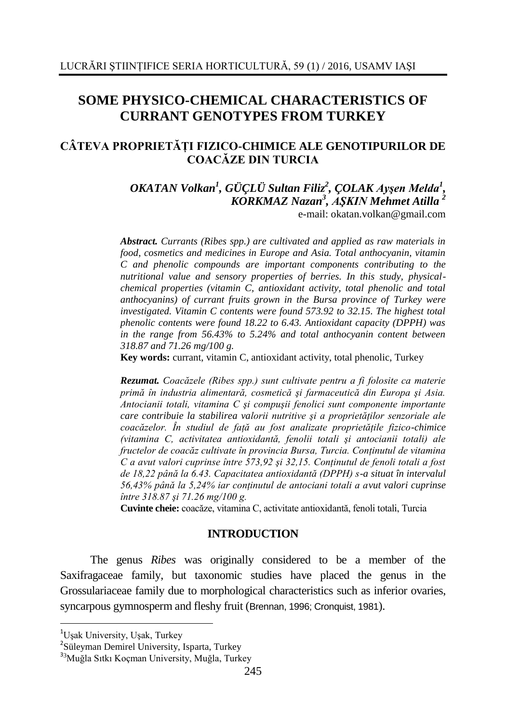# **SOME PHYSICO-CHEMICAL CHARACTERISTICS OF CURRANT GENOTYPES FROM TURKEY**

## **CÂTEVA PROPRIETĂŢI FIZICO-CHIMICE ALE GENOTIPURILOR DE COACĂZE DIN TURCIA**

*OKATAN Volkan<sup>1</sup> , GÜÇLÜ Sultan Filiz<sup>2</sup> , ÇOLAK Ayşen Melda<sup>1</sup> , KORKMAZ Nazan<sup>3</sup> , AŞKIN Mehmet Atilla <sup>2</sup>* e-mail: [okatan.volkan@gmail.com](mailto:okatan.volkan@gmail.com)

*Abstract. Currants (Ribes spp.) are cultivated and applied as raw materials in food, cosmetics and medicines in Europe and Asia. Total anthocyanin, vitamin C and phenolic compounds are important components contributing to the nutritional value and sensory properties of berries. In this study, physicalchemical properties (vitamin C, antioxidant activity, total phenolic and total anthocyanins) of currant fruits grown in the Bursa province of Turkey were investigated. Vitamin C contents were found 573.92 to 32.15. The highest total phenolic contents were found 18.22 to 6.43. Antioxidant capacity (DPPH) was in the range from 56.43% to 5.24% and total anthocyanin content between 318.87 and 71.26 mg/100 g.*

**Key words:** currant, vitamin C, antioxidant activity, total phenolic, Turkey

*Rezumat. Coacăzele (Ribes spp.) sunt cultivate pentru a fi folosite ca materie primă în industria alimentară, cosmetică şi farmaceutică din Europa şi Asia. Antocianii totali, vitamina C şi compuşii fenolici sunt componente importante care contribuie la stabilirea valorii nutritive şi a proprietăţilor senzoriale ale coacăzelor. În studiul de faţă au fost analizate proprietăţile fizico-chimice (vitamina C, activitatea antioxidantă, fenolii totali şi antocianii totali) ale fructelor de coacăz cultivate în provincia Bursa, Turcia. Conţinutul de vitamina C a avut valori cuprinse între 573,92 şi 32,15. Conţinutul de fenoli totali a fost de 18,22 până la 6.43. Capacitatea antioxidantă (DPPH) s-a situat în intervalul 56,43% până la 5,24% iar conţinutul de antociani totali a avut valori cuprinse între 318.87 şi 71.26 mg/100 g.*

**Cuvinte cheie:** coacăze, vitamina C, activitate antioxidantă, fenoli totali, Turcia

### **INTRODUCTION**

The genus *Ribes* was originally considered to be a member of the Saxifragaceae family, but taxonomic studies have placed the genus in the Grossulariaceae family due to morphological characteristics such as inferior ovaries, syncarpous gymnosperm and fleshy fruit (Brennan, 1996; Cronquist, 1981).

1

<sup>&</sup>lt;sup>1</sup>Uşak University, Uşak, Turkey

<sup>&</sup>lt;sup>2</sup>Süleyman Demirel University, Isparta, Turkey

<sup>3</sup><sup>3</sup>Muğla Sıtkı Koçman University, Muğla, Turkey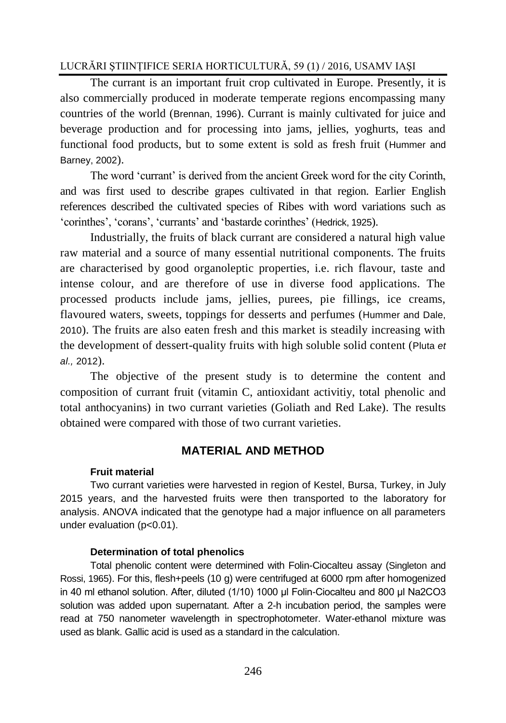## LUCRĂRI ŞTIINŢIFICE SERIA HORTICULTURĂ, 59 (1) / 2016, USAMV IAŞI

The currant is an important fruit crop cultivated in Europe. Presently, it is also commercially produced in moderate temperate regions encompassing many countries of the world (Brennan, 1996). Currant is mainly cultivated for juice and beverage production and for processing into jams, jellies, yoghurts, teas and functional food products, but to some extent is sold as fresh fruit (Hummer and Barney, 2002).

The word 'currant' is derived from the ancient Greek word for the city Corinth, and was first used to describe grapes cultivated in that region. Earlier English references described the cultivated species of Ribes with word variations such as 'corinthes', 'corans', 'currants' and 'bastarde corinthes' (Hedrick, 1925).

Industrially, the fruits of black currant are considered a natural high value raw material and a source of many essential nutritional components. The fruits are characterised by good organoleptic properties, i.e. rich flavour, taste and intense colour, and are therefore of use in diverse food applications. The processed products include jams, jellies, purees, pie fillings, ice creams, flavoured waters, sweets, toppings for desserts and perfumes (Hummer and Dale, 2010). The fruits are also eaten fresh and this market is steadily increasing with the development of dessert-quality fruits with high soluble solid content (Pluta *et al.,* 2012).

The objective of the present study is to determine the content and composition of currant fruit (vitamin C, antioxidant activitiy, total phenolic and total anthocyanins) in two currant varieties (Goliath and Red Lake). The results obtained were compared with those of two currant varieties.

## **MATERIAL AND METHOD**

### **Fruit material**

Two currant varieties were harvested in region of Kestel, Bursa, Turkey, in July 2015 years, and the harvested fruits were then transported to the laboratory for analysis. ANOVA indicated that the genotype had a major influence on all parameters under evaluation (p<0.01).

### **Determination of total phenolics**

Total phenolic content were determined with Folin-Ciocalteu assay (Singleton and Rossi, 1965). For this, flesh+peels (10 g) were centrifuged at 6000 rpm after homogenized in 40 ml ethanol solution. After, diluted (1/10) 1000 μl Folin-Ciocalteu and 800 μl Na2CO3 solution was added upon supernatant. After a 2-h incubation period, the samples were read at 750 nanometer wavelength in spectrophotometer. Water-ethanol mixture was used as blank. Gallic acid is used as a standard in the calculation.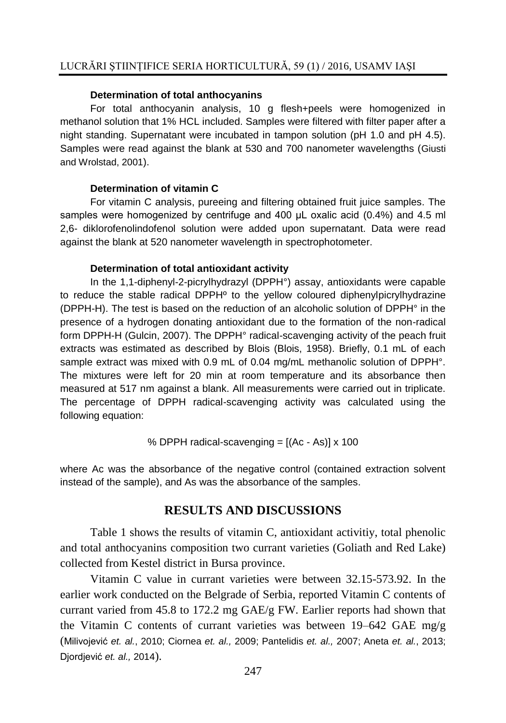#### **Determination of total anthocyanins**

For total anthocyanin analysis, 10 g flesh+peels were homogenized in methanol solution that 1% HCL included. Samples were filtered with filter paper after a night standing. Supernatant were incubated in tampon solution (pH 1.0 and pH 4.5). Samples were read against the blank at 530 and 700 nanometer wavelengths (Giusti and Wrolstad, 2001).

#### **Determination of vitamin C**

For vitamin C analysis, pureeing and filtering obtained fruit juice samples. The samples were homogenized by centrifuge and 400 μL oxalic acid (0.4%) and 4.5 ml 2,6- diklorofenolindofenol solution were added upon supernatant. Data were read against the blank at 520 nanometer wavelength in spectrophotometer.

#### **Determination of total antioxidant activity**

In the 1,1-diphenyl-2-picrylhydrazyl (DPPH°) assay, antioxidants were capable to reduce the stable radical DPPHº to the yellow coloured diphenylpicrylhydrazine (DPPH-H). The test is based on the reduction of an alcoholic solution of DPPH° in the presence of a hydrogen donating antioxidant due to the formation of the non-radical form DPPH-H (Gulcin, 2007). The DPPH° radical-scavenging activity of the peach fruit extracts was estimated as described by Blois (Blois, 1958). Briefly, 0.1 mL of each sample extract was mixed with 0.9 mL of 0.04 mg/mL methanolic solution of DPPH°. The mixtures were left for 20 min at room temperature and its absorbance then measured at 517 nm against a blank. All measurements were carried out in triplicate. The percentage of DPPH radical-scavenging activity was calculated using the following equation:

% DPPH radical-scavending = 
$$
[(Ac - As)] \times 100
$$

where Ac was the absorbance of the negative control (contained extraction solvent instead of the sample), and As was the absorbance of the samples.

## **RESULTS AND DISCUSSIONS**

Table 1 shows the results of vitamin C, antioxidant activitiy, total phenolic and total anthocyanins composition two currant varieties (Goliath and Red Lake) collected from Kestel district in Bursa province.

Vitamin C value in currant varieties were between 32.15-573.92. In the earlier work conducted on the Belgrade of Serbia, reported Vitamin C contents of currant varied from 45.8 to 172.2 mg GAE/g FW. Earlier reports had shown that the Vitamin C contents of currant varieties was between 19–642 GAE mg/g (Milivojević *et. al.*, 2010; Ciornea *et. al.,* 2009; Pantelidis *et. al.,* 2007; Aneta *et. al.*, 2013; Djordjević *et. al.,* 2014).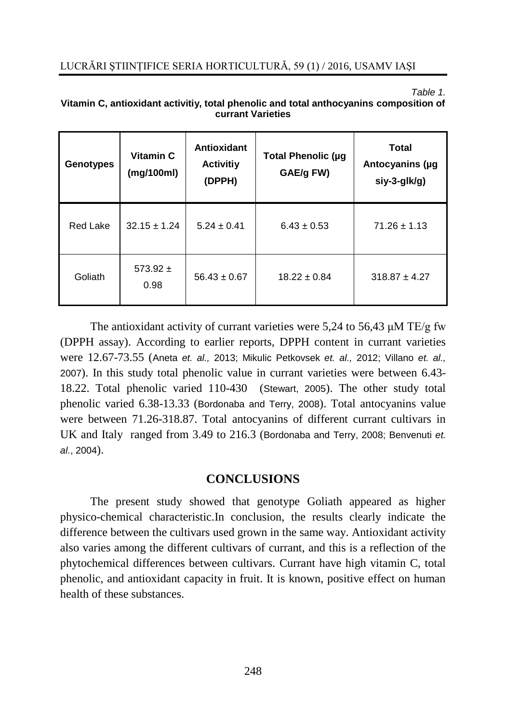#### *Table 1.*

| Vitamin C, antioxidant activitiy, total phenolic and total anthocyanins composition of |
|----------------------------------------------------------------------------------------|
| <b>currant Varieties</b>                                                               |

| <b>Genotypes</b> | Vitamin C<br>(mg/100ml) | Antioxidant<br><b>Activitiy</b><br>(DPPH) | Total Phenolic (µg<br>GAE/g FW) | <b>Total</b><br>Antocyanins (µg<br>siy-3-glk/g) |
|------------------|-------------------------|-------------------------------------------|---------------------------------|-------------------------------------------------|
| Red Lake         | $32.15 \pm 1.24$        | $5.24 \pm 0.41$                           | $6.43 \pm 0.53$                 | $71.26 \pm 1.13$                                |
| Goliath          | 573.92 $\pm$<br>0.98    | $56.43 \pm 0.67$                          | $18.22 \pm 0.84$                | $318.87 \pm 4.27$                               |

The antioxidant activity of currant varieties were 5,24 to 56,43 μM TE/g fw (DPPH assay). According to earlier reports, DPPH content in currant varieties were 12.67-73.55 (Aneta *et. al.,* 2013; Mikulic Petkovsek *et. al.,* 2012; Villano *et. al.,* 2007). In this study total phenolic value in currant varieties were between 6.43- 18.22. Total phenolic varied 110-430 (Stewart, 2005). The other study total phenolic varied 6.38-13.33 (Bordonaba and Terry, 2008). Total antocyanins value were between 71.26-318.87. Total antocyanins of different currant cultivars in UK and Italy ranged from 3.49 to 216.3 (Bordonaba and Terry, 2008; Benvenuti *et. al.*, 2004).

## **CONCLUSIONS**

The present study showed that genotype Goliath appeared as higher physico-chemical characteristic.In conclusion, the results clearly indicate the difference between the cultivars used grown in the same way. Antioxidant activity also varies among the different cultivars of currant, and this is a reflection of the phytochemical differences between cultivars. Currant have high vitamin C, total phenolic, and antioxidant capacity in fruit. It is known, positive effect on human health of these substances.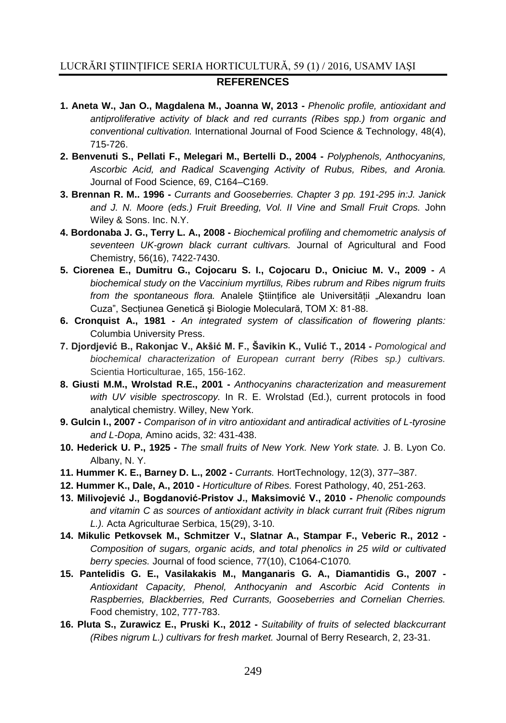## LUCRĂRI ŞTIINŢIFICE SERIA HORTICULTURĂ, 59 (1) / 2016, USAMV IAŞI **REFERENCES**

- **1. Aneta W., Jan O., Magdalena M., Joanna W, 2013 -** *Phenolic profile, antioxidant and antiproliferative activity of black and red currants (Ribes spp.) from organic and conventional cultivation.* International Journal of Food Science & Technology, 48(4), 715-726.
- **2. Benvenuti S., Pellati F., Melegari M., Bertelli D., 2004 -** *Polyphenols, Anthocyanins, Ascorbic Acid, and Radical Scavenging Activity of Rubus, Ribes, and Aronia.*  Journal of Food Science, 69, C164–C169.
- **3. Brennan R. M.. 1996 -** *Currants and Gooseberries. Chapter 3 pp. 191-295 in:J. Janick*  and J. N. Moore (eds.) Fruit Breeding, Vol. II Vine and Small Fruit Crops. John Wiley & Sons. Inc. N.Y.
- **4. Bordonaba J. G., Terry L. A., 2008 -** *Biochemical profiling and chemometric analysis of seventeen UK-grown black currant cultivars.* Journal of Agricultural and Food Chemistry, 56(16), 7422-7430.
- **5. Ciorenea E., Dumitru G., Cojocaru S. I., Cojocaru D., Oniciuc M. V., 2009 -** *A biochemical study on the Vaccinium myrtillus, Ribes rubrum and Ribes nigrum fruits from the spontaneous flora.* Analele Stiintifice ale Universității "Alexandru Ioan Cuza", Sectiunea Genetică și Biologie Moleculară, TOM X: 81-88.
- **6. Cronquist A., 1981 -** *An integrated system of classification of flowering plants:*  Columbia University Press.
- **7. Djordjević B., Rakonjac V., Akšić M. F., Šavikin K., Vulić T., 2014 -** *Pomological and biochemical characterization of European currant berry (Ribes sp.) cultivars.* Scientia Horticulturae, 165, 156-162.
- **8. Giusti M.M., Wrolstad R.E., 2001 -** *Anthocyanins characterization and measurement with UV visible spectroscopy.* In R. E. Wrolstad (Ed.), current protocols in food analytical chemistry. Willey, New York.
- **9. Gulcin I., 2007 -** *Comparison of in vitro antioxidant and antiradical activities of L-tyrosine and L-Dopa,* Amino acids, 32: 431-438.
- **10. Hederick U. P., 1925 -** *The small fruits of New York. New York state.* J. B. Lyon Co. Albany, N. Y.
- **11. Hummer K. E., Barney D. L., 2002 -** *Currants.* HortTechnology, 12(3), 377–387*.*
- **12. Hummer K., Dale, A., 2010 -** *Horticulture of Ribes.* Forest Pathology, 40, 251-263.
- **13. Milivojević J., Bogdanović-Pristov J., Maksimović V., 2010 -** *Phenolic compounds and vitamin C as sources of antioxidant activity in black currant fruit (Ribes nigrum L.).* Acta Agriculturae Serbica, 15(29), 3-10.
- **14. Mikulic Petkovsek M., Schmitzer V., Slatnar A., Stampar F., Veberic R., 2012 -** *Composition of sugars, organic acids, and total phenolics in 25 wild or cultivated berry species.* Journal of food science, 77(10), C1064-C1070*.*
- **15. Pantelidis G. E., Vasilakakis M., Manganaris G. A., Diamantidis G., 2007 -** *Antioxidant Capacity, Phenol, Anthocyanin and Ascorbic Acid Contents in Raspberries, Blackberries, Red Currants, Gooseberries and Cornelian Cherries.*  Food chemistry, 102, 777-783.
- **16. Pluta S., Zurawicz E., Pruski K., 2012 -** *Suitability of fruits of selected blackcurrant (Ribes nigrum L.) cultivars for fresh market.* Journal of Berry Research, 2, 23-31.